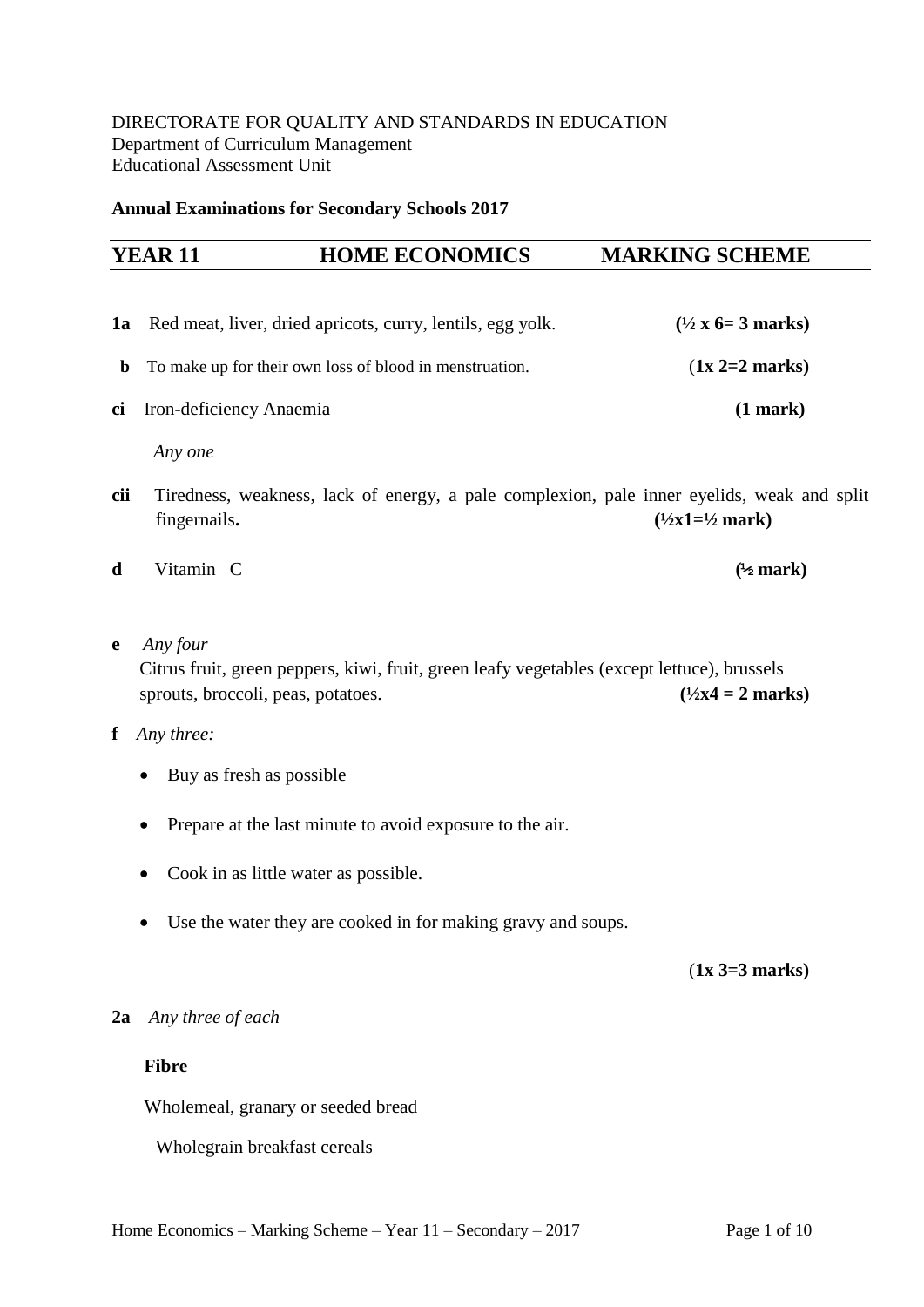#### **Annual Examinations for Secondary Schools 2017**

# **YEAR 11 HOME ECONOMICS MARKING SCHEME**

**1a** Red meat, liver, dried apricots, curry, lentils, egg yolk. **(½ x 6= 3 marks) b** To make up for their own loss of blood in menstruation. (**1x 2=2 marks**) **ci** Iron-deficiency Anaemia **(1 mark)**

 *Any one*

- **cii** Tiredness, weakness, lack of energy, a pale complexion, pale inner eyelids, weak and split fingernails.  $(\frac{1}{2}x1=\frac{1}{2}mark)$
- **d** Vitamin C **(½ mark)**
- **e** *Any four*

 Citrus fruit, green peppers, kiwi, fruit, green leafy vegetables (except lettuce), brussels sprouts, broccoli, peas, potatoes.  $(1/2x4 = 2 \text{ marks})$ 

- **f** *Any three:*
	- Buy as fresh as possible
	- Prepare at the last minute to avoid exposure to the air.
	- Cook in as little water as possible.
	- Use the water they are cooked in for making gravy and soups.

(**1x 3=3 marks)**

## **2a** *Any three of each*

## **Fibre**

Wholemeal, granary or seeded bread

Wholegrain breakfast cereals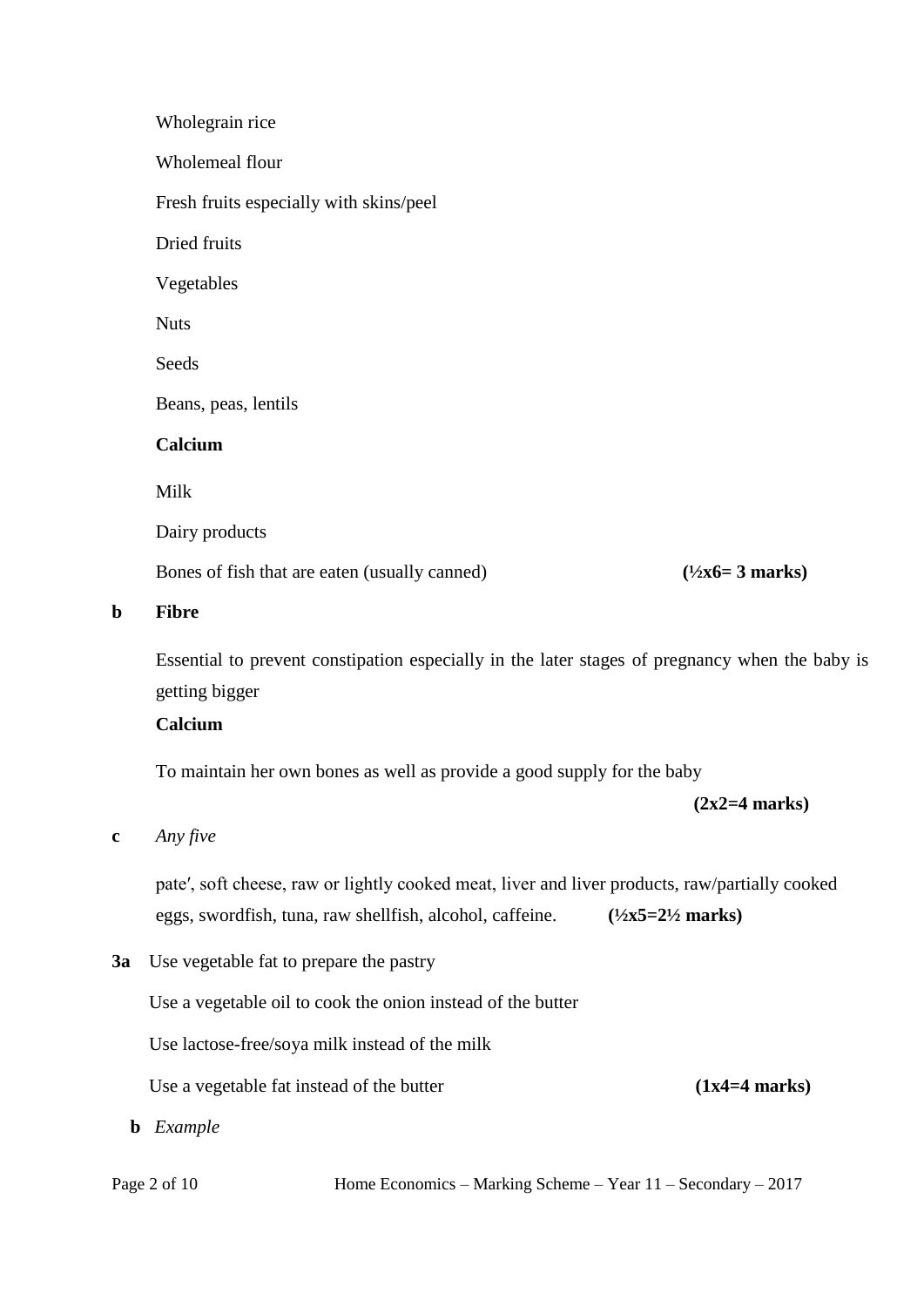|   | Wholegrain rice                                                                                |                                   |
|---|------------------------------------------------------------------------------------------------|-----------------------------------|
|   | Wholemeal flour                                                                                |                                   |
|   | Fresh fruits especially with skins/peel                                                        |                                   |
|   | Dried fruits                                                                                   |                                   |
|   | Vegetables                                                                                     |                                   |
|   | <b>Nuts</b>                                                                                    |                                   |
|   | Seeds                                                                                          |                                   |
|   | Beans, peas, lentils                                                                           |                                   |
|   | Calcium                                                                                        |                                   |
|   | Milk                                                                                           |                                   |
|   | Dairy products                                                                                 |                                   |
|   | Bones of fish that are eaten (usually canned)                                                  | $(\frac{1}{2}x6=3 \text{ marks})$ |
| þ | <b>Fibre</b>                                                                                   |                                   |
|   | Essential to prevent constipation especially in the later stages of pregnancy when the baby is |                                   |

getting bigger

# **Calcium**

To maintain her own bones as well as provide a good supply for the baby

**(2x2=4 marks)**

#### **c** *Any five*

**b** 

pate′, soft cheese, raw or lightly cooked meat, liver and liver products, raw/partially cooked eggs, swordfish, tuna, raw shellfish, alcohol, caffeine. **(½x5=2½ marks)**

**3a** Use vegetable fat to prepare the pastry

Use a vegetable oil to cook the onion instead of the butter

Use lactose-free/soya milk instead of the milk

Use a vegetable fat instead of the butter **(1x4=4 marks)** 

**b** *Example*

Page 2 of 10 Home Economics – Marking Scheme – Year 11 – Secondary – 2017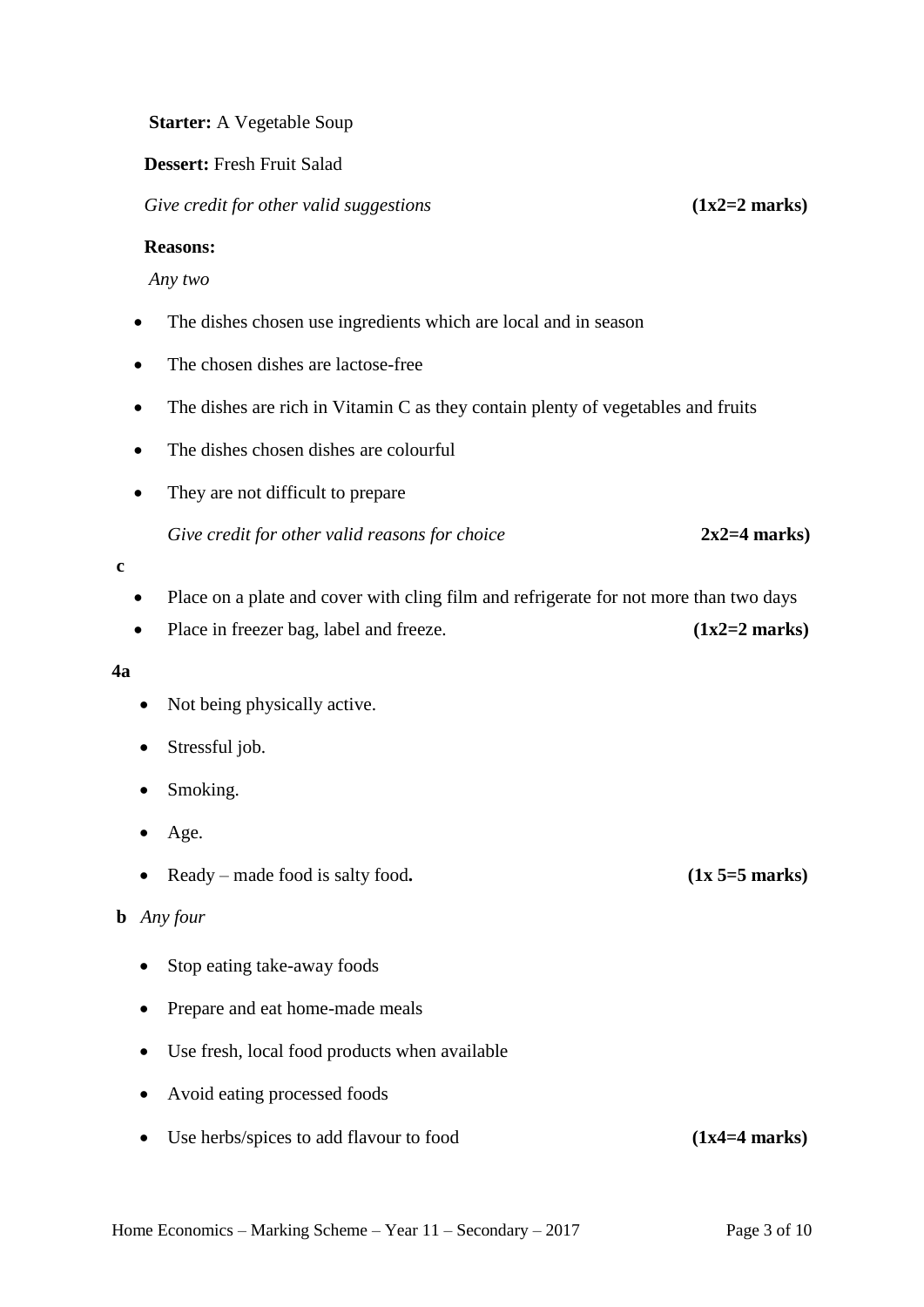Home Economics – Marking Scheme – Year  $11$  – Secondary – 2017 Page 3 of 10

#### **Starter:** A Vegetable Soup

#### **Dessert:** Fresh Fruit Salad

*Give credit for other valid suggestions* **(1x2=2 marks)**

#### **Reasons:**

*Any two*

- The dishes chosen use ingredients which are local and in season
- The chosen dishes are lactose-free
- The dishes are rich in Vitamin C as they contain plenty of vegetables and fruits
- The dishes chosen dishes are colourful
- They are not difficult to prepare

*Give credit for other valid reasons for choice* **2x2=4 marks)**

- **c**
- Place on a plate and cover with cling film and refrigerate for not more than two days
- Place in freezer bag, label and freeze. **(1x2=2 marks)**

#### **4a**

- Not being physically active.
- Stressful job.
- Smoking.
- Age.
- Ready made food is salty food**. (1x 5=5 marks)**

# **b** *Any four*

- Stop eating take-away foods
- Prepare and eat home-made meals
- Use fresh, local food products when available
- Avoid eating processed foods
- Use herbs/spices to add flavour to food **(1x4=4 marks)**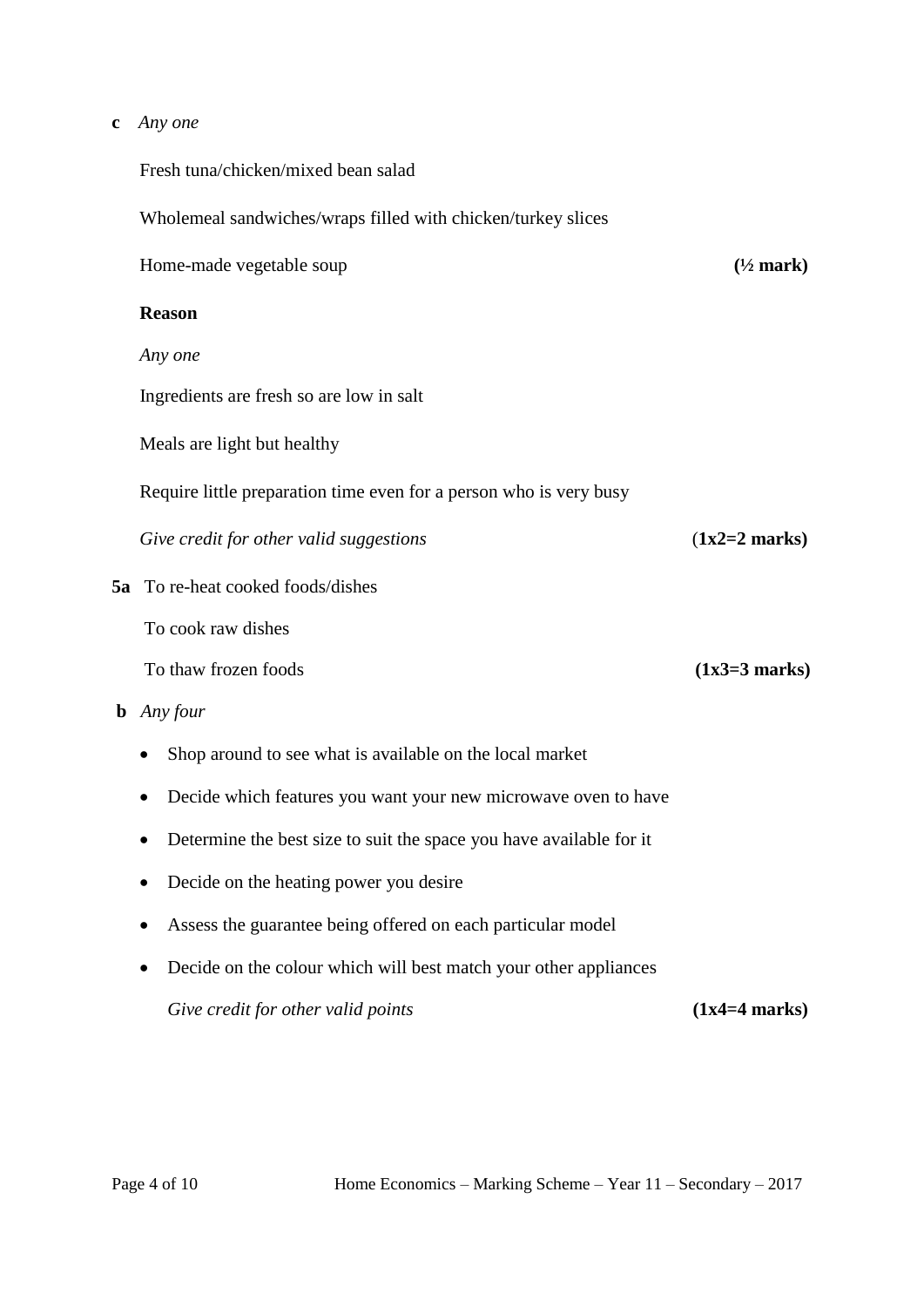#### **c** *Any one*

Fresh tuna/chicken/mixed bean salad

Wholemeal sandwiches/wraps filled with chicken/turkey slices

Home-made vegetable soup **(½ mark)**

## **Reason**

*Any one*

Ingredients are fresh so are low in salt

Meals are light but healthy

Require little preparation time even for a person who is very busy

*Give credit for other valid suggestions* (**1x2=2 marks)**

**5a** To re-heat cooked foods/dishes

To cook raw dishes

To thaw frozen foods **(1x3=3 marks)** 

- **b** *Any four*
	- Shop around to see what is available on the local market
	- Decide which features you want your new microwave oven to have
	- Determine the best size to suit the space you have available for it
	- Decide on the heating power you desire
	- Assess the guarantee being offered on each particular model
	- Decide on the colour which will best match your other appliances *Give credit for other valid points* (1x4=4 **marks**)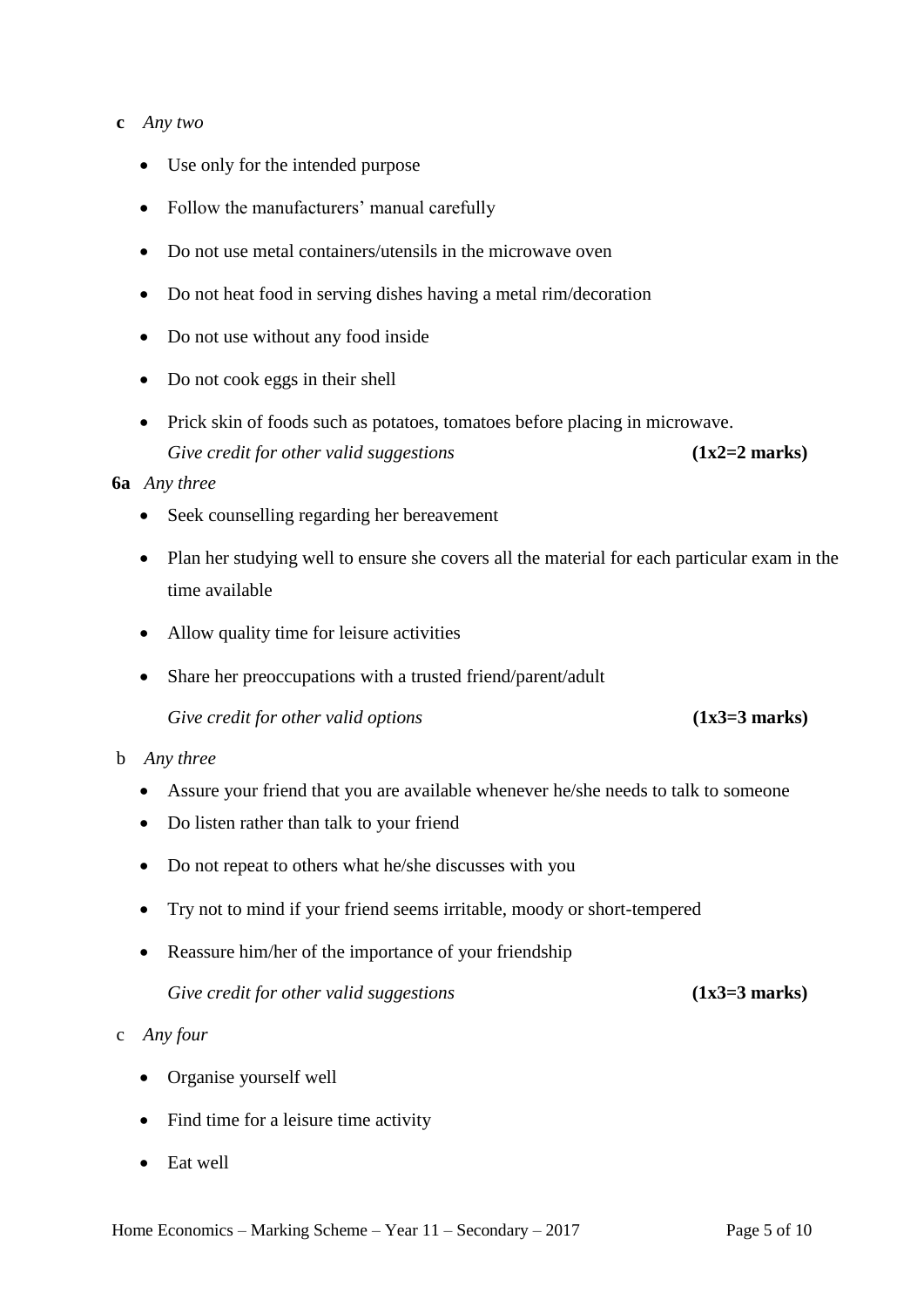#### **c** *Any two*

- Use only for the intended purpose
- Follow the manufacturers' manual carefully
- Do not use metal containers/utensils in the microwave oven
- Do not heat food in serving dishes having a metal rim/decoration
- Do not use without any food inside
- Do not cook eggs in their shell
- Prick skin of foods such as potatoes, tomatoes before placing in microwave. *Give credit for other valid suggestions* **(1x2=2 marks)**

#### **6a** *Any three*

- Seek counselling regarding her bereavement
- Plan her studying well to ensure she covers all the material for each particular exam in the time available
- Allow quality time for leisure activities
- Share her preoccupations with a trusted friend/parent/adult
	- Give credit for other valid options **(1x3=3 marks)**

#### b *Any three*

- Assure your friend that you are available whenever he/she needs to talk to someone
- Do listen rather than talk to your friend
- Do not repeat to others what he/she discusses with you
- Try not to mind if your friend seems irritable, moody or short-tempered
- Reassure him/her of the importance of your friendship

## *Give credit for other valid suggestions* **(1x3=3 marks)**

## c *Any four*

- Organise yourself well
- Find time for a leisure time activity
- Eat well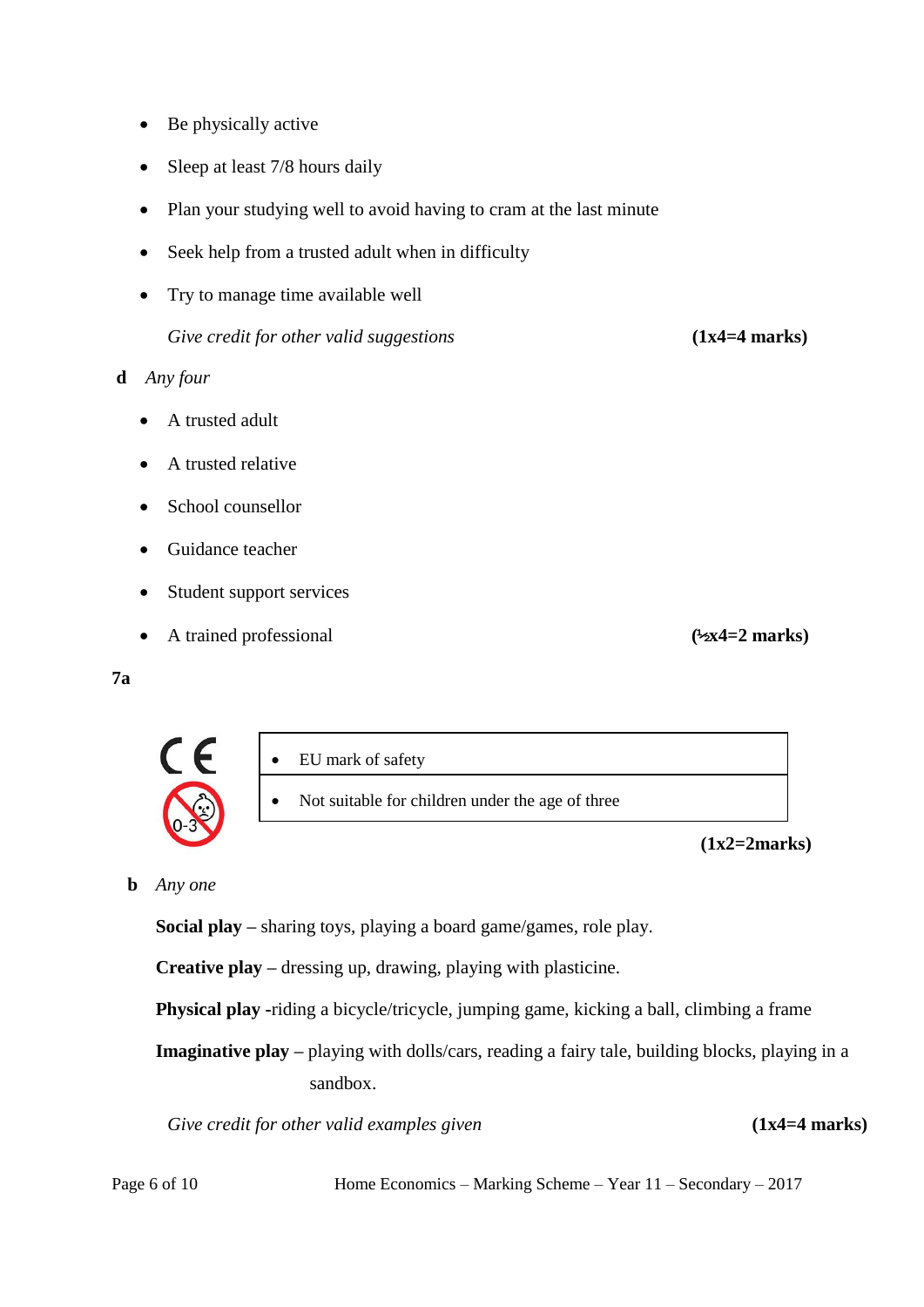- Be physically active
- Sleep at least 7/8 hours daily
- Plan your studying well to avoid having to cram at the last minute
- Seek help from a trusted adult when in difficulty
- Try to manage time available well

*Give credit for other valid suggestions* **(1x4=4 marks)**

- **d** *Any four*
	- A trusted adult
	- A trusted relative
	- School counsellor
	- Guidance teacher
	- Student support services
	- A trained professional **(½x4=2 marks)**
- **7a**



Not suitable for children under the age of three

 **(1x2=2marks)**

## **b** *Any one*

 $\epsilon$ 

**Social play –** sharing toys, playing a board game/games, role play.

**Creative play –** dressing up, drawing, playing with plasticine.

**Physical play -**riding a bicycle/tricycle, jumping game, kicking a ball, climbing a frame

**Imaginative play –** playing with dolls/cars, reading a fairy tale, building blocks, playing in a sandbox.

*Give credit for other valid examples given (1x4=4 marks)* 

Page 6 of 10 Home Economics – Marking Scheme – Year 11 – Secondary – 2017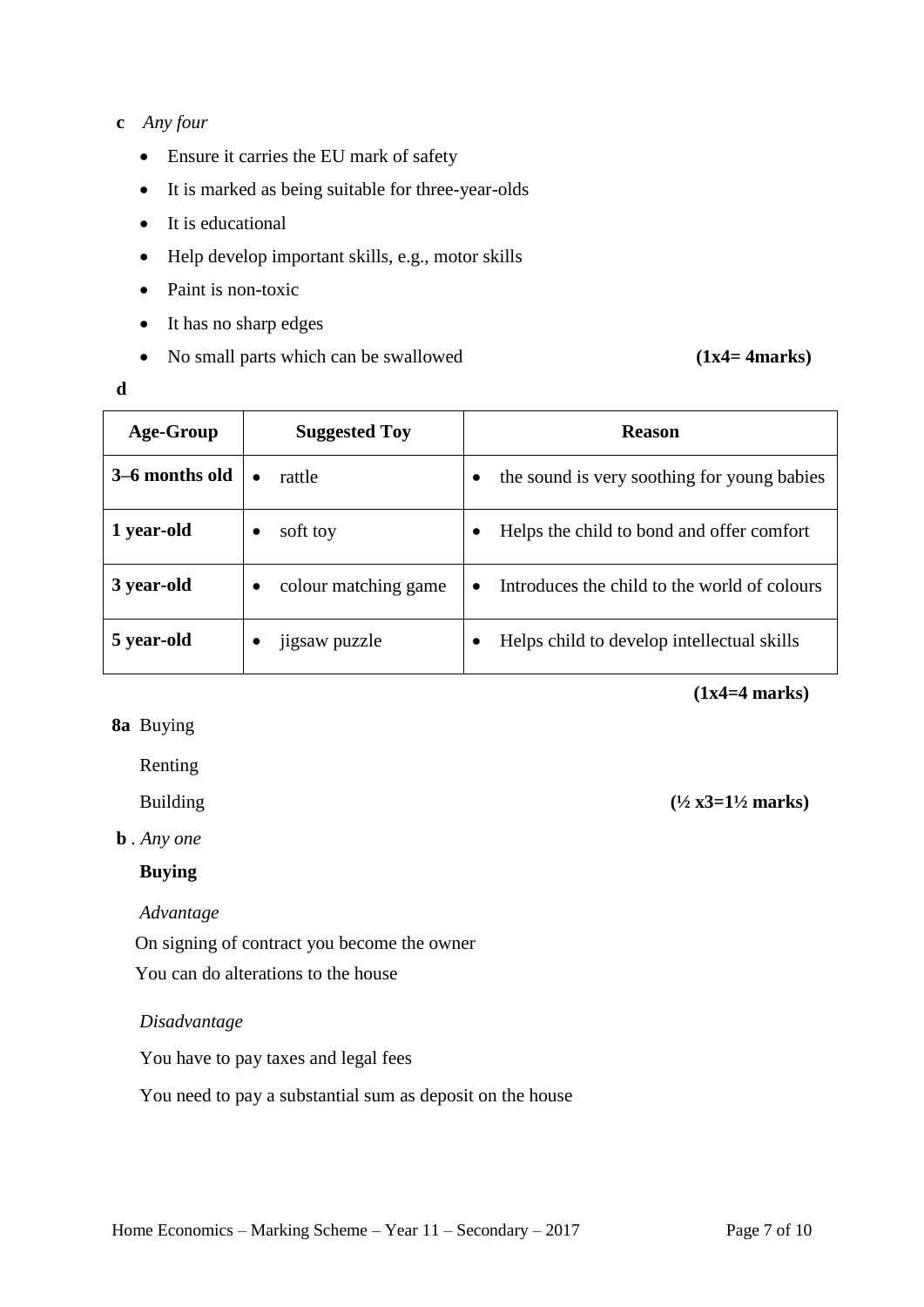# **c** *Any four*

- Ensure it carries the EU mark of safety
- It is marked as being suitable for three-year-olds
- It is educational
- Help develop important skills, e.g., motor skills
- Paint is non-toxic
- It has no sharp edges
- No small parts which can be swallowed  $(1x4=4marks)$

## **d**

| Age-Group      | <b>Suggested Toy</b>      | <b>Reason</b>                                             |
|----------------|---------------------------|-----------------------------------------------------------|
| 3–6 months old | rattle<br>$\bullet$       | the sound is very soothing for young babies               |
| 1 year-old     | soft toy                  | Helps the child to bond and offer comfort                 |
| 3 year-old     | colour matching game<br>٠ | Introduces the child to the world of colours<br>$\bullet$ |
| 5 year-old     | jigsaw puzzle             | Helps child to develop intellectual skills                |

 **(1x4=4 marks)**

**8a** Buying

Renting

Building **(½ x3=1½ marks)**

**b** *. Any one*

# **Buying**

 *Advantage*

On signing of contract you become the owner

You can do alterations to the house

## *Disadvantage*

You have to pay taxes and legal fees

You need to pay a substantial sum as deposit on the house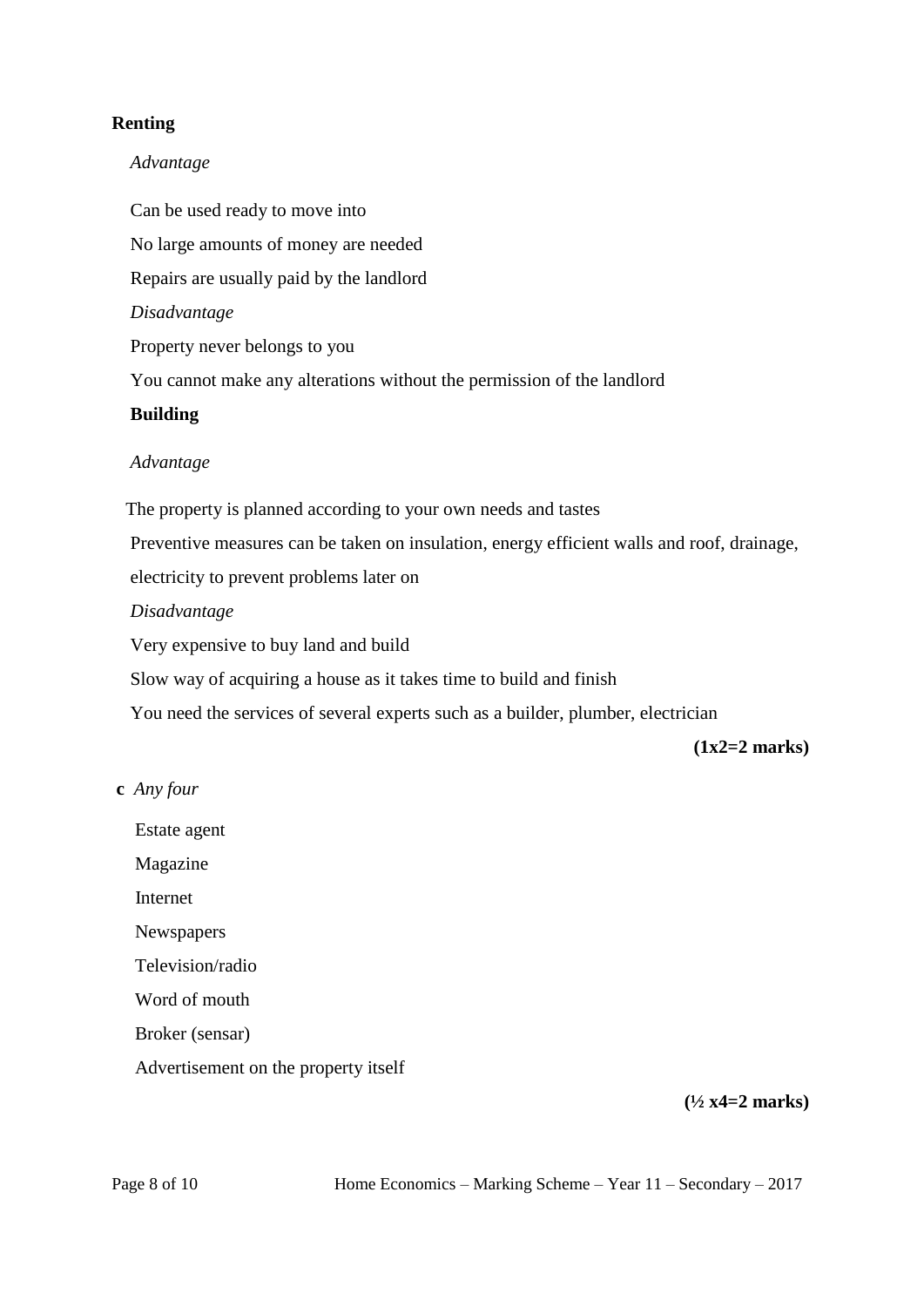# **Renting**

# *Advantage*

 Can be used ready to move into No large amounts of money are needed Repairs are usually paid by the landlord  *Disadvantage* Property never belongs to you You cannot make any alterations without the permission of the landlord  **Building**  *Advantage* The property is planned according to your own needs and tastes Preventive measures can be taken on insulation, energy efficient walls and roof, drainage, electricity to prevent problems later on  *Disadvantage* Very expensive to buy land and build Slow way of acquiring a house as it takes time to build and finish

You need the services of several experts such as a builder, plumber, electrician

 **(1x2=2 marks)**

# **c** *Any four*

Estate agent

Magazine

Internet

Newspapers

Television/radio

Word of mouth

Broker (sensar)

Advertisement on the property itself

**(½ x4=2 marks)**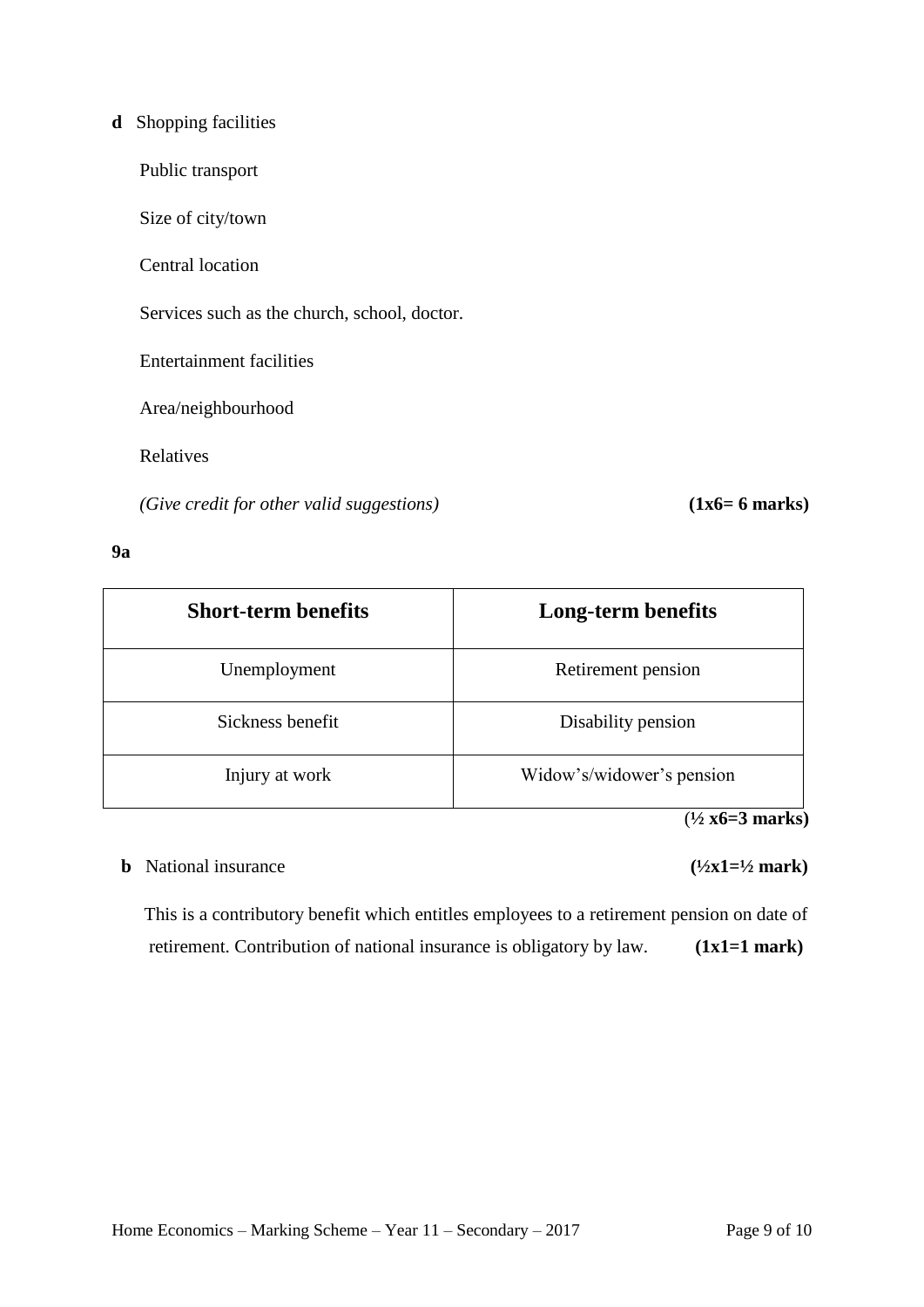# **d** Shopping facilities

Public transport

Size of city/town

Central location

Services such as the church, school, doctor.

Entertainment facilities

Area/neighbourhood

Relatives

 *(Give credit for other valid suggestions)* **(1x6= 6 marks)**

#### **9a**

| <b>Short-term benefits</b> | Long-term benefits        |
|----------------------------|---------------------------|
| Unemployment               | Retirement pension        |
| Sickness benefit           | Disability pension        |
| Injury at work             | Widow's/widower's pension |

(**½ x6=3 marks)**

# **b** National insurance  $(\frac{1}{2}x1=\frac{1}{2}mark)$

This is a contributory benefit which entitles employees to a retirement pension on date of retirement. Contribution of national insurance is obligatory by law. **(1x1=1 mark)**